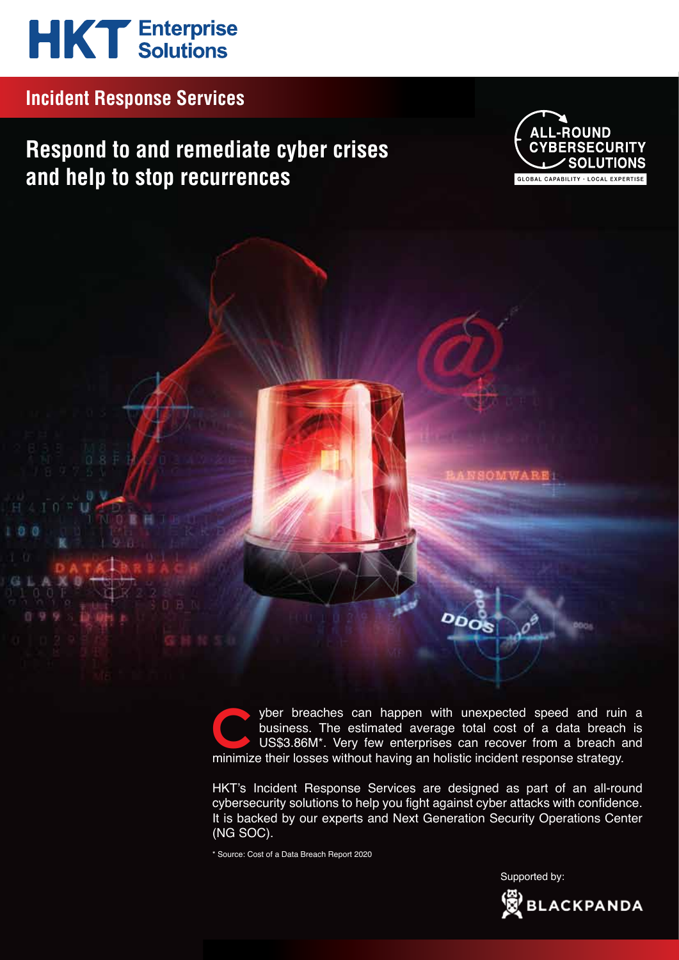# **HKT** Enterprise

## **Incident Response Services**

# **Respond to and remediate cyber crises and help to stop recurrences**



yber breaches can happen with unexpected speed and ruin a business. The estimated average total cost of a data breach is US\$3.86M\*. Very few enterprises can recover from a breach and yber breaches can happen with unexpected speed and ruir business. The estimated average total cost of a data breach US\$3.86M\*. Very few enterprises can recover from a breach iminimize their losses without having an holisti

 $\overline{O_{OOS}}$ 

HKT's Incident Response Services are designed as part of an all-round cybersecurity solutions to help you fight against cyber attacks with confidence. It is backed by our experts and Next Generation Security Operations Center (NG SOC).

\* Source: Cost of a Data Breach Report 2020